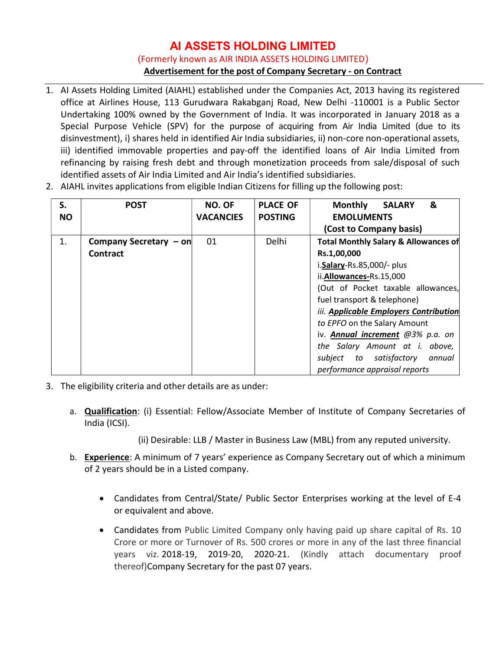## AI ASSETS HOLDING LIMITED (Formerly known as AIR INDIA ASSETS HOLDING LIMITED) Advertisement for the post of Company Secretary - on Contract

- 1. AI Assets Holding Limited (AIAHL) established under the Companies Act, 2013 having its registered office at Airlines House, 113 Gurudwara Rakabganj Road, New Delhi -110001 is a Public Sector Undertaking 100% owned by the Government of India. It was incorporated in January 2018 as a Special Purpose Vehicle (SPV) for the purpose of acquiring from Air India Limited (due to its disinvestment), i) shares held in identified Air India subsidiaries, ii) non-core non-operational assets, iii) identified immovable properties and pay-off the identified loans of Air India Limited from refinancing by raising fresh debt and through monetization proceeds from sale/disposal of such identified assets of Air India Limited and Air India's identified subsidiaries.
- 2. AIAHL invites applications from eligible Indian Citizens for filling up the following post:

| S.<br><b>NO</b> | <b>POST</b>            | <b>NO. OF</b><br><b>VACANCIES</b> | <b>PLACE OF</b><br><b>POSTING</b> | &<br><b>Monthly</b><br><b>SALARY</b><br><b>EMOLUMENTS</b><br>(Cost to Company basis) |  |  |
|-----------------|------------------------|-----------------------------------|-----------------------------------|--------------------------------------------------------------------------------------|--|--|
| 1.              | Company Secretary - on | 01                                | <b>Delhi</b>                      | <b>Total Monthly Salary &amp; Allowances of</b>                                      |  |  |
|                 | <b>Contract</b>        |                                   |                                   | Rs.1,00,000                                                                          |  |  |
|                 |                        |                                   |                                   | i.Salary-Rs.85,000/- plus                                                            |  |  |
|                 |                        |                                   |                                   | ii.Allowances-Rs.15,000                                                              |  |  |
|                 |                        |                                   |                                   | (Out of Pocket taxable allowances,                                                   |  |  |
|                 |                        |                                   |                                   | fuel transport & telephone)                                                          |  |  |
|                 |                        |                                   |                                   | iii. Applicable Employers Contribution                                               |  |  |
|                 |                        |                                   |                                   | to EPFO on the Salary Amount                                                         |  |  |
|                 |                        |                                   |                                   | iv. Annual increment @3% p.a. on                                                     |  |  |
|                 |                        |                                   |                                   | the Salary Amount at i. above,                                                       |  |  |
|                 |                        |                                   |                                   | subject to satisfactory<br>annual                                                    |  |  |
|                 |                        |                                   |                                   | performance appraisal reports                                                        |  |  |

- 3. The eligibility criteria and other details are as under:
	- a. Qualification: (i) Essential: Fellow/Associate Member of Institute of Company Secretaries of India (ICSI).
		- (ii) Desirable: LLB / Master in Business Law (MBL) from any reputed university.
	- b. Experience: A minimum of 7 years' experience as Company Secretary out of which a minimum of 2 years should be in a Listed company.
		- Candidates from Central/State/ Public Sector Enterprises working at the level of E-4 or equivalent and above.
		- Candidates from Public Limited Company only having paid up share capital of Rs. 10 Crore or more or Turnover of Rs. 500 crores or more in any of the last three financial years viz. 2018-19, 2019-20, 2020-21. (Kindly attach documentary proof thereof)Company Secretary for the past 07 years.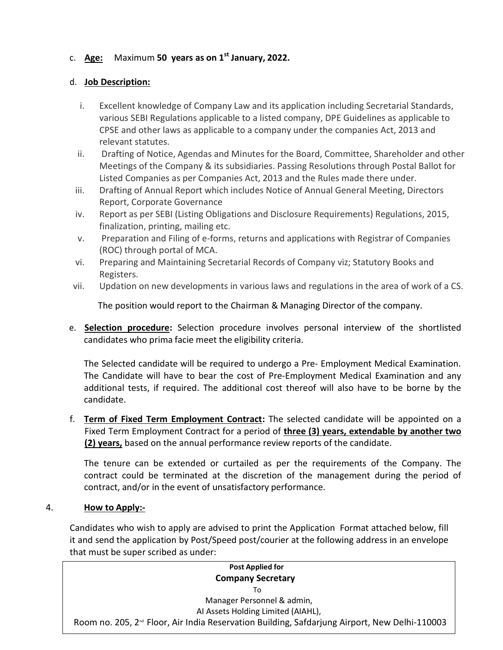# c. Age: Maximum 50 years as on  $1<sup>st</sup>$  January, 2022.

### d. Job Description:

- i. Excellent knowledge of Company Law and its application including Secretarial Standards, various SEBI Regulations applicable to a listed company, DPE Guidelines as applicable to CPSE and other laws as applicable to a company under the companies Act, 2013 and relevant statutes.
- ii. Drafting of Notice, Agendas and Minutes for the Board, Committee, Shareholder and other Meetings of the Company & its subsidiaries. Passing Resolutions through Postal Ballot for Listed Companies as per Companies Act, 2013 and the Rules made there under.
- iii. Drafting of Annual Report which includes Notice of Annual General Meeting, Directors Report, Corporate Governance
- iv. Report as per SEBI (Listing Obligations and Disclosure Requirements) Regulations, 2015, finalization, printing, mailing etc.
- v. Preparation and Filing of e-forms, returns and applications with Registrar of Companies (ROC) through portal of MCA.
- vi. Preparing and Maintaining Secretarial Records of Company viz; Statutory Books and Registers.
- vii. Updation on new developments in various laws and regulations in the area of work of a CS.

The position would report to the Chairman & Managing Director of the company.

e. **Selection procedure**: Selection procedure involves personal interview of the shortlisted candidates who prima facie meet the eligibility criteria.

The Selected candidate will be required to undergo a Pre- Employment Medical Examination. The Candidate will have to bear the cost of Pre-Employment Medical Examination and any additional tests, if required. The additional cost thereof will also have to be borne by the candidate.

f. Term of Fixed Term Employment Contract: The selected candidate will be appointed on a Fixed Term Employment Contract for a period of three (3) years, extendable by another two (2) years, based on the annual performance review reports of the candidate.

The tenure can be extended or curtailed as per the requirements of the Company. The contract could be terminated at the discretion of the management during the period of contract, and/or in the event of unsatisfactory performance.

## 4. How to Apply:-

Candidates who wish to apply are advised to print the Application Format attached below, fill it and send the application by Post/Speed post/courier at the following address in an envelope that must be super scribed as under:

| <b>Post Applied for</b>                                                                                   |
|-----------------------------------------------------------------------------------------------------------|
| <b>Company Secretary</b>                                                                                  |
| To                                                                                                        |
| Manager Personnel & admin,                                                                                |
| Al Assets Holding Limited (AIAHL),                                                                        |
| Room no. 205, 2 <sup>nd</sup> Floor, Air India Reservation Building, Safdarjung Airport, New Delhi-110003 |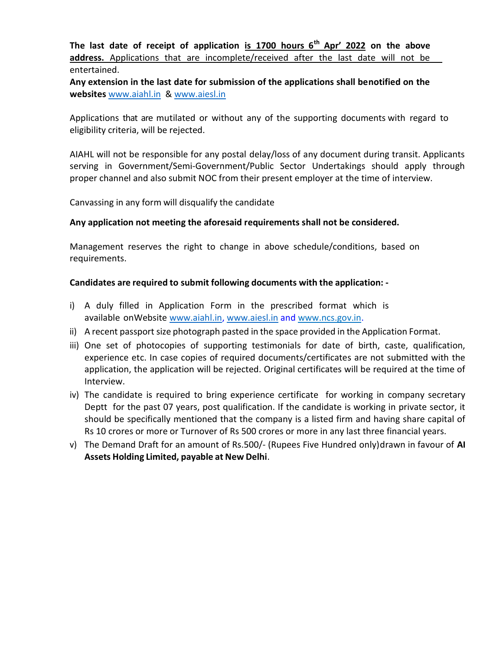The last date of receipt of application is  $1700$  hours  $6<sup>th</sup>$  Apr' 2022 on the above address. Applications that are incomplete/received after the last date will not be entertained.

Any extension in the last date for submission of the applications shall be notified on the websites www.aiahl.in & www.aiesl.in

Applications that are mutilated or without any of the supporting documents with regard to eligibility criteria, will be rejected.

AIAHL will not be responsible for any postal delay/loss of any document during transit. Applicants serving in Government/Semi-Government/Public Sector Undertakings should apply through proper channel and also submit NOC from their present employer at the time of interview.

Canvassing in any form will disqualify the candidate

### Any application not meeting the aforesaid requirements shall not be considered.

Management reserves the right to change in above schedule/conditions, based on requirements.

### Candidates are required to submit following documents with the application: -

- i) A duly filled in Application Form in the prescribed format which is available on Website www.aiahl.in, www.aiesl.in and www.ncs.gov.in.
- ii) A recent passport size photograph pasted in the space provided in the Application Format.
- iii) One set of photocopies of supporting testimonials for date of birth, caste, qualification, experience etc. In case copies of required documents/certificates are not submitted with the application, the application will be rejected. Original certificates will be required at the time of Interview.
- iv) The candidate is required to bring experience certificate for working in company secretary Deptt for the past 07 years, post qualification. If the candidate is working in private sector, it should be specifically mentioned that the company is a listed firm and having share capital of Rs 10 crores or more or Turnover of Rs 500 crores or more in any last three financial years.
- v) The Demand Draft for an amount of Rs.500/- (Rupees Five Hundred only) drawn in favour of AI Assets Holding Limited, payable at New Delhi.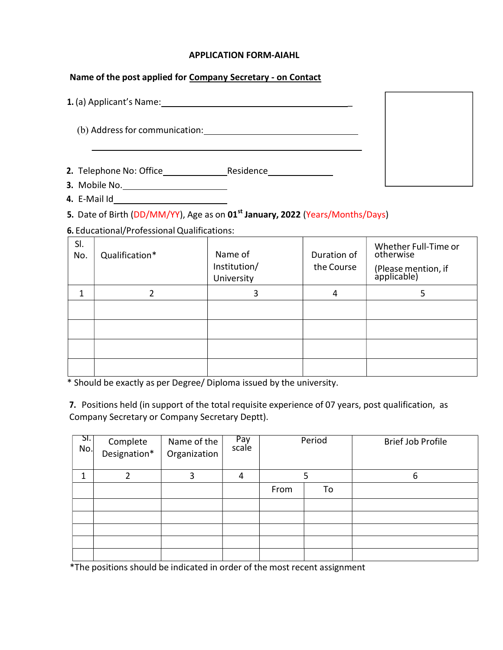#### APPLICATION FORM-AIAHL

### Name of the post applied for Company Secretary - on Contact

| 1. (a) Applicant's Name:       |           |  |
|--------------------------------|-----------|--|
| (b) Address for communication: |           |  |
| 2. Telephone No: Office        | Residence |  |
| 3. Mobile No.                  |           |  |

4. E-Mail Id

5. Date of Birth (DD/MM/YY), Age as on 01<sup>st</sup> January, 2022 (Years/Months/Days)

6. Educational/Professional Qualifications:

| SI.<br>No. | Qualification* | Name of<br>Institution/<br>University | Duration of<br>the Course | Whether Full-Time or<br>otherwise<br>(Please mention, if<br>applicable) |
|------------|----------------|---------------------------------------|---------------------------|-------------------------------------------------------------------------|
|            |                |                                       | 4                         |                                                                         |
|            |                |                                       |                           |                                                                         |
|            |                |                                       |                           |                                                                         |
|            |                |                                       |                           |                                                                         |
|            |                |                                       |                           |                                                                         |
|            |                |                                       |                           |                                                                         |

\* Should be exactly as per Degree/ Diploma issued by the university.

7. Positions held (in support of the total requisite experience of 07 years, post qualification, as Company Secretary or Company Secretary Deptt).

| SL <sub>1</sub><br>No. | Complete<br>Designation* | Name of the<br>Organization | Pay<br>scale | Period |    | <b>Brief Job Profile</b> |
|------------------------|--------------------------|-----------------------------|--------------|--------|----|--------------------------|
|                        |                          | 3                           | 4            |        |    | 6                        |
|                        |                          |                             |              | From   | To |                          |
|                        |                          |                             |              |        |    |                          |
|                        |                          |                             |              |        |    |                          |
|                        |                          |                             |              |        |    |                          |
|                        |                          |                             |              |        |    |                          |
|                        |                          |                             |              |        |    |                          |

\*The positions should be indicated in order of the most recent assignment